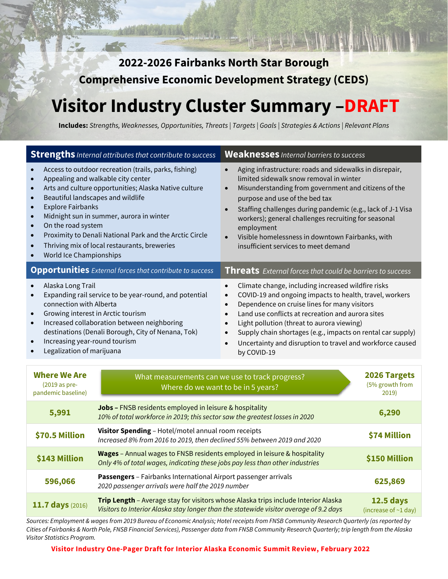**2022-2026 Fairbanks North Star Borough Comprehensive Economic Development Strategy (CEDS)** 

# **Visitor Industry Cluster Summary –DRAFT**

**Includes:** *Strengths, Weaknesses, Opportunities, Threats | Targets | Goals | Strategies & Actions | Relevant Plans*

| <b>Strengths</b> Internal attributes that contribute to success                                                                                                                                                                                                                                                                                                                                                                                                                                                          |                                                                                                                                                                                                  | <b>Weaknesses</b> Internal barriers to success                                                                                                                                                                                                                                                                                                                                                                                                                                                         |                                          |
|--------------------------------------------------------------------------------------------------------------------------------------------------------------------------------------------------------------------------------------------------------------------------------------------------------------------------------------------------------------------------------------------------------------------------------------------------------------------------------------------------------------------------|--------------------------------------------------------------------------------------------------------------------------------------------------------------------------------------------------|--------------------------------------------------------------------------------------------------------------------------------------------------------------------------------------------------------------------------------------------------------------------------------------------------------------------------------------------------------------------------------------------------------------------------------------------------------------------------------------------------------|------------------------------------------|
| Access to outdoor recreation (trails, parks, fishing)<br>Appealing and walkable city center<br>Arts and culture opportunities; Alaska Native culture<br>$\bullet$<br>Beautiful landscapes and wildlife<br>$\bullet$<br><b>Explore Fairbanks</b><br>$\bullet$<br>Midnight sun in summer, aurora in winter<br>$\bullet$<br>On the road system<br>$\bullet$<br>Proximity to Denali National Park and the Arctic Circle<br>$\bullet$<br>Thriving mix of local restaurants, breweries<br>World Ice Championships<br>$\bullet$ |                                                                                                                                                                                                  | Aging infrastructure: roads and sidewalks in disrepair,<br>limited sidewalk snow removal in winter<br>Misunderstanding from government and citizens of the<br>$\bullet$<br>purpose and use of the bed tax<br>Staffing challenges during pandemic (e.g., lack of J-1 Visa<br>$\bullet$<br>workers); general challenges recruiting for seasonal<br>employment<br>Visible homelessness in downtown Fairbanks, with<br>insufficient services to meet demand                                                |                                          |
| <b>Opportunities</b> External forces that contribute to success                                                                                                                                                                                                                                                                                                                                                                                                                                                          |                                                                                                                                                                                                  | <b>Threats</b> External forces that could be barriers to success                                                                                                                                                                                                                                                                                                                                                                                                                                       |                                          |
| Alaska Long Trail<br>Expanding rail service to be year-round, and potential<br>$\bullet$<br>connection with Alberta<br>Growing interest in Arctic tourism<br>Increased collaboration between neighboring<br>$\bullet$<br>destinations (Denali Borough, City of Nenana, Tok)<br>Increasing year-round tourism<br>$\bullet$<br>Legalization of marijuana                                                                                                                                                                   |                                                                                                                                                                                                  | Climate change, including increased wildfire risks<br>$\bullet$<br>COVID-19 and ongoing impacts to health, travel, workers<br>$\bullet$<br>Dependence on cruise lines for many visitors<br>$\bullet$<br>Land use conflicts at recreation and aurora sites<br>$\bullet$<br>Light pollution (threat to aurora viewing)<br>$\bullet$<br>Supply chain shortages (e.g., impacts on rental car supply)<br>$\bullet$<br>Uncertainty and disruption to travel and workforce caused<br>$\bullet$<br>by COVID-19 |                                          |
| <b>Where We Are</b><br>(2019 as pre-<br>pandemic baseline)                                                                                                                                                                                                                                                                                                                                                                                                                                                               | What measurements can we use to track progress?<br>Where do we want to be in 5 years?                                                                                                            |                                                                                                                                                                                                                                                                                                                                                                                                                                                                                                        | 2026 Targets<br>(5% growth from<br>2019) |
| 5,991                                                                                                                                                                                                                                                                                                                                                                                                                                                                                                                    | Jobs - FNSB residents employed in leisure & hospitality<br>6,290<br>10% of total workforce in 2019; this sector saw the greatest losses in 2020                                                  |                                                                                                                                                                                                                                                                                                                                                                                                                                                                                                        |                                          |
| \$70.5 Million                                                                                                                                                                                                                                                                                                                                                                                                                                                                                                           | Visitor Spending - Hotel/motel annual room receipts<br>Increased 8% from 2016 to 2019, then declined 55% between 2019 and 2020                                                                   |                                                                                                                                                                                                                                                                                                                                                                                                                                                                                                        | \$74 Million                             |
| \$143 Million                                                                                                                                                                                                                                                                                                                                                                                                                                                                                                            | Wages - Annual wages to FNSB residents employed in leisure & hospitality<br>Only 4% of total wages, indicating these jobs pay less than other industries                                         |                                                                                                                                                                                                                                                                                                                                                                                                                                                                                                        | \$150 Million                            |
| 596,066                                                                                                                                                                                                                                                                                                                                                                                                                                                                                                                  | Passengers - Fairbanks International Airport passenger arrivals<br>625,869<br>2020 passenger arrivals were half the 2019 number                                                                  |                                                                                                                                                                                                                                                                                                                                                                                                                                                                                                        |                                          |
| 11.7 days (2016)                                                                                                                                                                                                                                                                                                                                                                                                                                                                                                         | Trip Length - Average stay for visitors whose Alaska trips include Interior Alaska<br><b>12.5 days</b><br>Visitors to Interior Alaska stay longer than the statewide visitor average of 9.2 days |                                                                                                                                                                                                                                                                                                                                                                                                                                                                                                        | (increase of ~1 day)                     |

*Sources: Employment & wages from 2019 Bureau of Economic Analysis; Hotel receipts from FNSB Community Research Quarterly (as reported by Cities of Fairbanks & North Pole, FNSB Financial Services), Passenger data from FNSB Community Research Quarterly; trip length from the Alaska Visitor Statistics Program.*

**Visitor Industry One-Pager Draft for Interior Alaska Economic Summit Review, February 2022**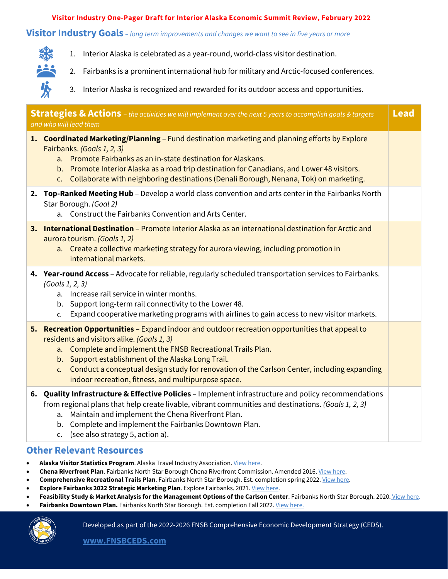#### **Visitor Industry One-Pager Draft for Interior Alaska Economic Summit Review, February 2022**

#### **Visitor Industry Goals** *– long term improvements and changes we want to see in five years or more*



- 1. Interior Alaska is celebrated as a year-round, world-class visitor destination.
- 2. Fairbanks is a prominent international hub for military and Arctic-focused conferences.
- 3. Interior Alaska is recognized and rewarded for its outdoor access and opportunities.

| <b>Lead</b><br><b>Strategies &amp; Actions</b> – the activities we will implement over the next 5 years to accomplish goals & targets<br>and who will lead them |                                                                                                                                                                                                                                                                                                                                                                                                                                 |  |
|-----------------------------------------------------------------------------------------------------------------------------------------------------------------|---------------------------------------------------------------------------------------------------------------------------------------------------------------------------------------------------------------------------------------------------------------------------------------------------------------------------------------------------------------------------------------------------------------------------------|--|
|                                                                                                                                                                 | 1. Coordinated Marketing/Planning - Fund destination marketing and planning efforts by Explore<br>Fairbanks. (Goals 1, 2, 3)<br>a. Promote Fairbanks as an in-state destination for Alaskans.<br>b. Promote Interior Alaska as a road trip destination for Canadians, and Lower 48 visitors.<br>c. Collaborate with neighboring destinations (Denali Borough, Nenana, Tok) on marketing.                                        |  |
|                                                                                                                                                                 | 2. Top-Ranked Meeting Hub - Develop a world class convention and arts center in the Fairbanks North<br>Star Borough. (Goal 2)<br>a. Construct the Fairbanks Convention and Arts Center.                                                                                                                                                                                                                                         |  |
|                                                                                                                                                                 | 3. International Destination - Promote Interior Alaska as an international destination for Arctic and<br>aurora tourism. (Goals 1, 2)<br>a. Create a collective marketing strategy for aurora viewing, including promotion in<br>international markets.                                                                                                                                                                         |  |
|                                                                                                                                                                 | 4. Year-round Access - Advocate for reliable, regularly scheduled transportation services to Fairbanks.<br>(Goals 1, 2, 3)<br>a. Increase rail service in winter months.<br>b. Support long-term rail connectivity to the Lower 48.<br>Expand cooperative marketing programs with airlines to gain access to new visitor markets.<br>c.                                                                                         |  |
|                                                                                                                                                                 | 5. Recreation Opportunities - Expand indoor and outdoor recreation opportunities that appeal to<br>residents and visitors alike. (Goals 1, 3)<br>a. Complete and implement the FNSB Recreational Trails Plan.<br>b. Support establishment of the Alaska Long Trail.<br>Conduct a conceptual design study for renovation of the Carlson Center, including expanding<br>c.<br>indoor recreation, fitness, and multipurpose space. |  |
|                                                                                                                                                                 | 6. Quality Infrastructure & Effective Policies - Implement infrastructure and policy recommendations<br>from regional plans that help create livable, vibrant communities and destinations. (Goals 1, 2, 3)<br>Maintain and implement the Chena Riverfront Plan.<br>а.<br>Complete and implement the Fairbanks Downtown Plan.<br>b.<br>(see also strategy 5, action a).<br>C.                                                   |  |

#### **Other Relevant Resources**

- **Alaska Visitor Statistics Program**. Alaska Travel Industry Association. [View here.](https://www.alaskatia.org/marketing/alaska-visitors-statistics-program-avsp-vii)
- **Chena Riverfront Plan**. Fairbanks North Star Borough Chena Riverfront Commission. Amended 2016. [View here.](https://www.fnsb.gov/DocumentCenter/View/1239/Chena-Riverfront-Plan-PDF)
- **Comprehensive Recreational Trails Plan**. Fairbanks North Star Borough. Est. completion spring 2022[. View here.](https://www.fnsbtrailsplan.com/)
- **Explore Fairbanks 2022 Strategic Marketing Plan**. Explore Fairbanks. 2021[. View here.](https://assets.simpleviewinc.com/simpleview/image/upload/v1/clients/fairbanks/2022_Explore_Fairbanks_Stratetgic_Marketing_Plan_1b8f85e5-7cf6-4b61-aa51-19b86cfc659b.pdf)
- **Feasibility Study & Market Analysis for the Management Options of the Carlson Center**. Fairbanks North Star Borough. 2020. [View here.](https://fairbanksak.myrec.com/documents/fnsb_carlson_center_study_12_2020.pdf)
- Fairbanks Downtown Plan. Fairbanks North Star Borough. Est. completion Fall 2022[. View here.](https://downtownfbx2040.com/home-2/)



Developed as part of the 2022-2026 FNSB Comprehensive Economic Development Strategy (CEDS).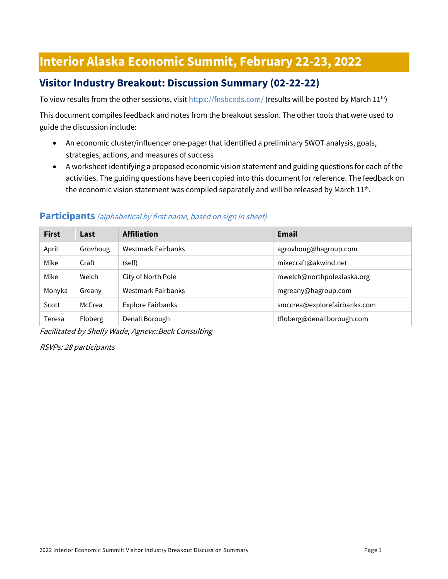# **Interior Alaska Economic Summit, February 22-23, 2022**

## **Visitor Industry Breakout: Discussion Summary (02-22-22)**

To view results from the other sessions, visi[t https://fnsbceds.com/](https://fnsbceds.com/) (results will be posted by March 11<sup>th</sup>)

This document compiles feedback and notes from the breakout session. The other tools that were used to guide the discussion include:

- An economic cluster/influencer one-pager that identified a preliminary SWOT analysis, goals, strategies, actions, and measures of success
- A worksheet identifying a proposed economic vision statement and guiding questions for each of the activities. The guiding questions have been copied into this document for reference. The feedback on the economic vision statement was compiled separately and will be released by March  $11<sup>th</sup>$ .

## **First Last Affiliation Email** April Grovhoug Westmark Fairbanks and the experience of a grovhoug@hagroup.com Mike Craft (self) [mikecraft@akwind.net](mailto:mikecraft@akwind.net) Mike Welch | City of North Pole | City of North Pole | City of Muslim | [mwelch@northpolealaska.org](mailto:mwelch@northpolealaska.org) Monyka Greany Westmark Fairbanks metal [mgreany@hagroup.com](mailto:mgreany@hagroup.com) Scott | McCrea | Explore Fairbanks | [smccrea@explorefairbanks.com](mailto:smccrea@explorefairbanks.com) Teresa Floberg Denali Borough the Superintensity of the Hoberg and the Floberg of the Denali Borough.com

#### **Participants** (alphabetical by first name, based on sign in sheet)

Facilitated by Shelly Wade, Agnew::Beck Consulting

RSVPs: 28 participants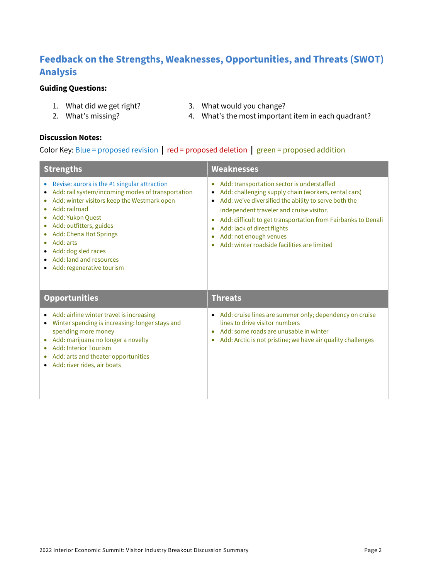## **Feedback on the Strengths, Weaknesses, Opportunities, and Threats (SWOT) Analysis**

#### **Guiding Questions:**

- 1. What did we get right?
- 2. What's missing?

3. What would you change?

- 
- 4. What's the most important item in each quadrant?

#### **Discussion Notes:**

#### Color Key: Blue = proposed revision **|** red = proposed deletion **|** green = proposed addition

| <b>Strengths</b>                                                                                                                                                                                                                                                                                                                                 | <b>Weaknesses</b>                                                                                                                                                                                                                                                                                                                                                                                                                   |  |
|--------------------------------------------------------------------------------------------------------------------------------------------------------------------------------------------------------------------------------------------------------------------------------------------------------------------------------------------------|-------------------------------------------------------------------------------------------------------------------------------------------------------------------------------------------------------------------------------------------------------------------------------------------------------------------------------------------------------------------------------------------------------------------------------------|--|
| Revise: aurora is the #1 singular attraction<br>۰<br>Add: rail system/incoming modes of transportation<br>Add: winter visitors keep the Westmark open<br>Add: railroad<br>٠<br>Add: Yukon Quest<br>Add: outfitters, guides<br>Add: Chena Hot Springs<br>Add: arts<br>Add: dog sled races<br>Add: land and resources<br>Add: regenerative tourism | Add: transportation sector is understaffed<br>$\bullet$<br>Add: challenging supply chain (workers, rental cars)<br>$\bullet$<br>Add: we've diversified the ability to serve both the<br>$\bullet$<br>independent traveler and cruise visitor.<br>Add: difficult to get transportation from Fairbanks to Denali<br>$\bullet$<br>Add: lack of direct flights<br>Add: not enough venues<br>Add: winter roadside facilities are limited |  |
| <b>Opportunities</b>                                                                                                                                                                                                                                                                                                                             | <b>Threats</b>                                                                                                                                                                                                                                                                                                                                                                                                                      |  |
| Add: airline winter travel is increasing<br>Winter spending is increasing: longer stays and<br>٠<br>spending more money<br>Add: marijuana no longer a novelty<br><b>Add: Interior Tourism</b><br>Add: arts and theater opportunities                                                                                                             | Add: cruise lines are summer only; dependency on cruise<br>$\bullet$<br>lines to drive visitor numbers<br>Add: some roads are unusable in winter<br>Add: Arctic is not pristine; we have air quality challenges<br>۰                                                                                                                                                                                                                |  |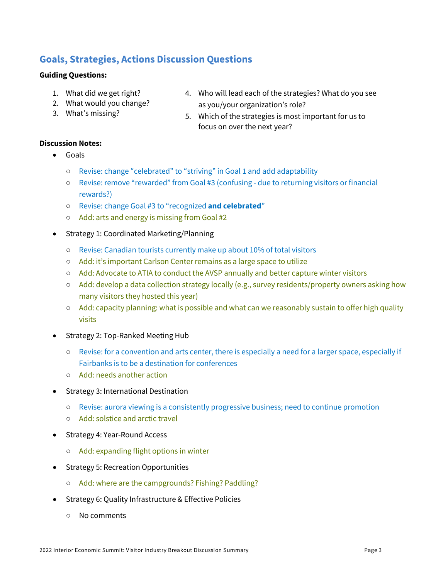### **Goals, Strategies, Actions Discussion Questions**

#### **Guiding Questions:**

- 1. What did we get right?
- 2. What would you change?
- 3. What's missing?
- 4. Who will lead each of the strategies? What do you see as you/your organization's role?
- 5. Which of the strategies is most important for us to focus on over the next year?

#### **Discussion Notes:**

- Goals
	- Revise: change "celebrated" to "striving" in Goal 1 and add adaptability
	- Revise: remove "rewarded" from Goal #3 (confusing due to returning visitors or financial rewards?)
	- Revise: change Goal #3 to "recognized **and celebrated**"
	- Add: arts and energy is missing from Goal #2
- Strategy 1: Coordinated Marketing/Planning
	- Revise: Canadian tourists currently make up about 10% of total visitors
	- Add: it's important Carlson Center remains as a large space to utilize
	- Add: Advocate to ATIA to conduct the AVSP annually and better capture winter visitors
	- Add: develop a data collection strategy locally (e.g., survey residents/property owners asking how many visitors they hosted this year)
	- Add: capacity planning: what is possible and what can we reasonably sustain to offer high quality visits
- Strategy 2: Top-Ranked Meeting Hub
	- Revise: for a convention and arts center, there is especially a need for a larger space, especially if Fairbanks is to be a destination for conferences
	- Add: needs another action
- Strategy 3: International Destination
	- Revise: aurora viewing is a consistently progressive business; need to continue promotion
	- Add: solstice and arctic travel
- Strategy 4: Year-Round Access
	- Add: expanding flight options in winter
- Strategy 5: Recreation Opportunities
	- Add: where are the campgrounds? Fishing? Paddling?
- Strategy 6: Quality Infrastructure & Effective Policies
	- No comments